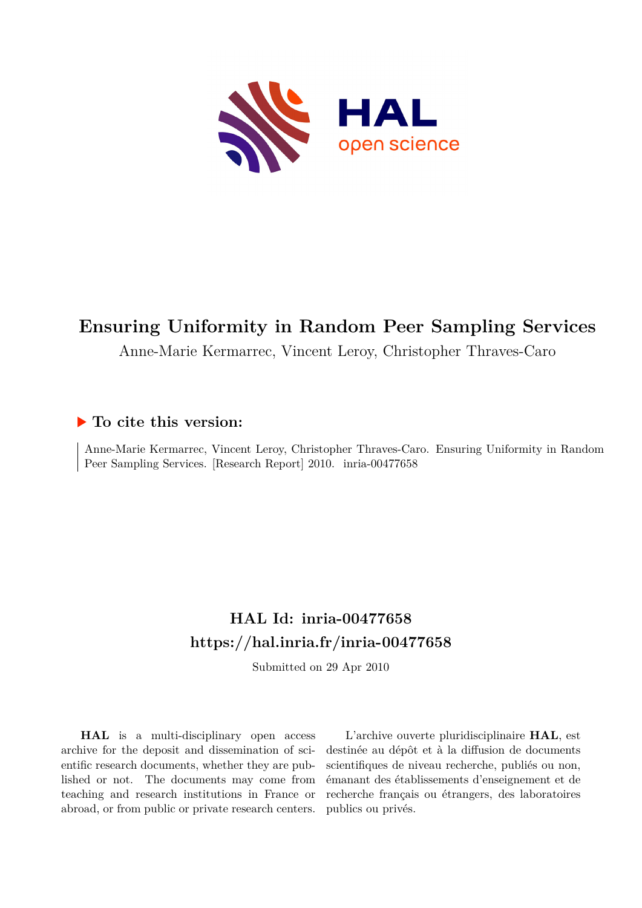

# **Ensuring Uniformity in Random Peer Sampling Services**

Anne-Marie Kermarrec, Vincent Leroy, Christopher Thraves-Caro

# **To cite this version:**

Anne-Marie Kermarrec, Vincent Leroy, Christopher Thraves-Caro. Ensuring Uniformity in Random Peer Sampling Services. [Research Report] 2010. inria-00477658

# **HAL Id: inria-00477658 <https://hal.inria.fr/inria-00477658>**

Submitted on 29 Apr 2010

**HAL** is a multi-disciplinary open access archive for the deposit and dissemination of scientific research documents, whether they are published or not. The documents may come from teaching and research institutions in France or abroad, or from public or private research centers.

L'archive ouverte pluridisciplinaire **HAL**, est destinée au dépôt et à la diffusion de documents scientifiques de niveau recherche, publiés ou non, émanant des établissements d'enseignement et de recherche français ou étrangers, des laboratoires publics ou privés.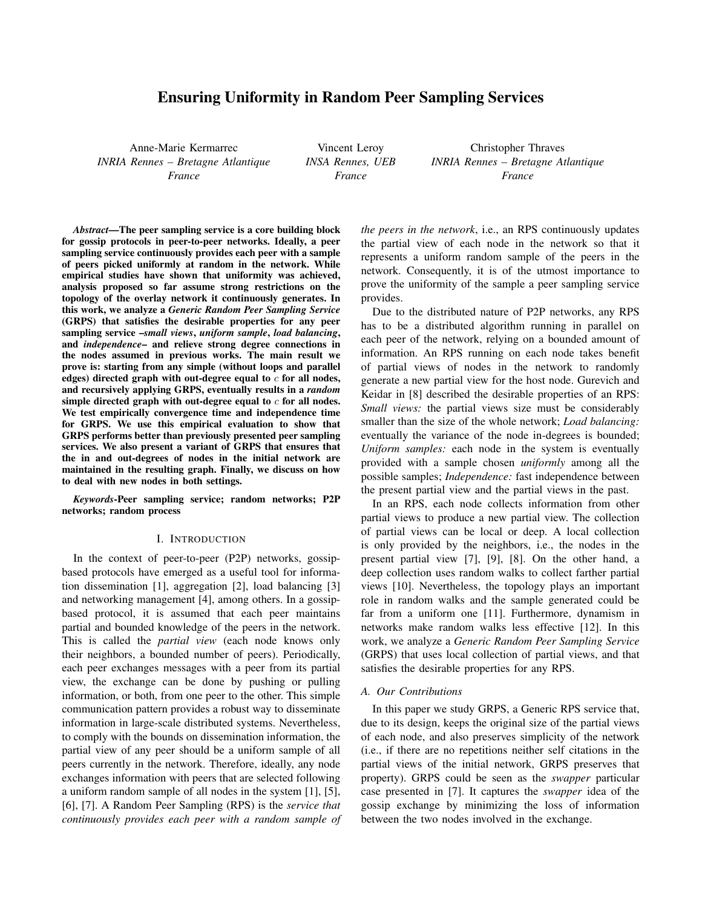# Ensuring Uniformity in Random Peer Sampling Services

Anne-Marie Kermarrec *INRIA Rennes – Bretagne Atlantique France*

Vincent Leroy *INSA Rennes, UEB France*

Christopher Thraves *INRIA Rennes – Bretagne Atlantique France*

*Abstract*—The peer sampling service is a core building block for gossip protocols in peer-to-peer networks. Ideally, a peer sampling service continuously provides each peer with a sample of peers picked uniformly at random in the network. While empirical studies have shown that uniformity was achieved, analysis proposed so far assume strong restrictions on the topology of the overlay network it continuously generates. In this work, we analyze a *Generic Random Peer Sampling Service* (GRPS) that satisfies the desirable properties for any peer sampling service –*small views*, *uniform sample*, *load balancing*, and *independence*– and relieve strong degree connections in the nodes assumed in previous works. The main result we prove is: starting from any simple (without loops and parallel edges) directed graph with out-degree equal to  $c$  for all nodes, and recursively applying GRPS, eventually results in a *random* simple directed graph with out-degree equal to  $c$  for all nodes. We test empirically convergence time and independence time for GRPS. We use this empirical evaluation to show that GRPS performs better than previously presented peer sampling services. We also present a variant of GRPS that ensures that the in and out-degrees of nodes in the initial network are maintained in the resulting graph. Finally, we discuss on how to deal with new nodes in both settings.

*Keywords*-Peer sampling service; random networks; P2P networks; random process

#### I. INTRODUCTION

In the context of peer-to-peer (P2P) networks, gossipbased protocols have emerged as a useful tool for information dissemination [1], aggregation [2], load balancing [3] and networking management [4], among others. In a gossipbased protocol, it is assumed that each peer maintains partial and bounded knowledge of the peers in the network. This is called the *partial view* (each node knows only their neighbors, a bounded number of peers). Periodically, each peer exchanges messages with a peer from its partial view, the exchange can be done by pushing or pulling information, or both, from one peer to the other. This simple communication pattern provides a robust way to disseminate information in large-scale distributed systems. Nevertheless, to comply with the bounds on dissemination information, the partial view of any peer should be a uniform sample of all peers currently in the network. Therefore, ideally, any node exchanges information with peers that are selected following a uniform random sample of all nodes in the system [1], [5], [6], [7]. A Random Peer Sampling (RPS) is the *service that continuously provides each peer with a random sample of* *the peers in the network*, i.e., an RPS continuously updates the partial view of each node in the network so that it represents a uniform random sample of the peers in the network. Consequently, it is of the utmost importance to prove the uniformity of the sample a peer sampling service provides.

Due to the distributed nature of P2P networks, any RPS has to be a distributed algorithm running in parallel on each peer of the network, relying on a bounded amount of information. An RPS running on each node takes benefit of partial views of nodes in the network to randomly generate a new partial view for the host node. Gurevich and Keidar in [8] described the desirable properties of an RPS: *Small views:* the partial views size must be considerably smaller than the size of the whole network; *Load balancing:* eventually the variance of the node in-degrees is bounded; *Uniform samples:* each node in the system is eventually provided with a sample chosen *uniformly* among all the possible samples; *Independence:* fast independence between the present partial view and the partial views in the past.

In an RPS, each node collects information from other partial views to produce a new partial view. The collection of partial views can be local or deep. A local collection is only provided by the neighbors, i.e., the nodes in the present partial view [7], [9], [8]. On the other hand, a deep collection uses random walks to collect farther partial views [10]. Nevertheless, the topology plays an important role in random walks and the sample generated could be far from a uniform one [11]. Furthermore, dynamism in networks make random walks less effective [12]. In this work, we analyze a *Generic Random Peer Sampling Service* (GRPS) that uses local collection of partial views, and that satisfies the desirable properties for any RPS.

#### *A. Our Contributions*

In this paper we study GRPS, a Generic RPS service that, due to its design, keeps the original size of the partial views of each node, and also preserves simplicity of the network (i.e., if there are no repetitions neither self citations in the partial views of the initial network, GRPS preserves that property). GRPS could be seen as the *swapper* particular case presented in [7]. It captures the *swapper* idea of the gossip exchange by minimizing the loss of information between the two nodes involved in the exchange.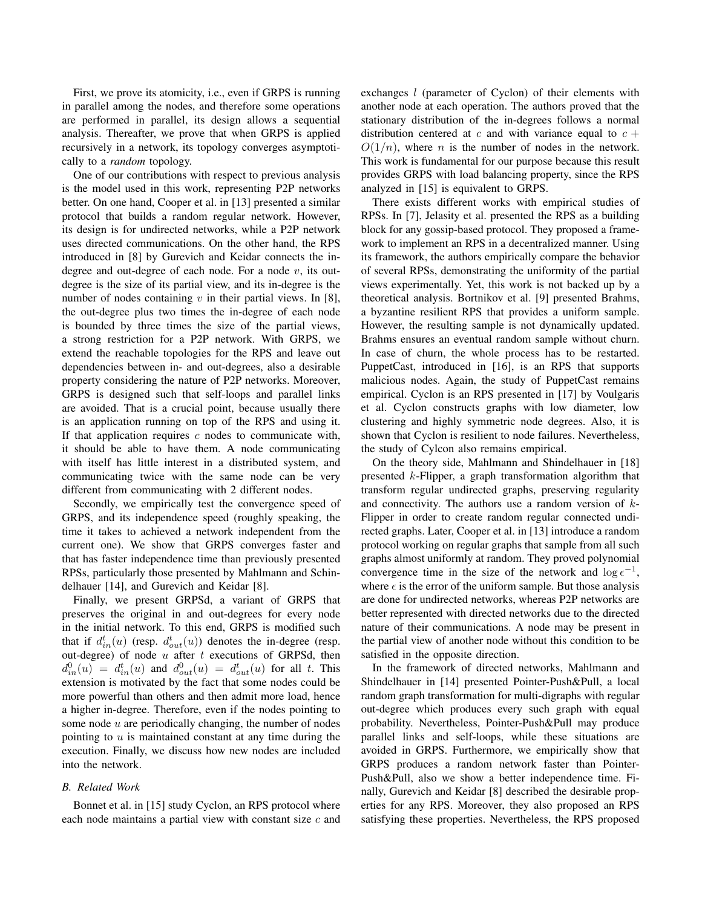First, we prove its atomicity, i.e., even if GRPS is running in parallel among the nodes, and therefore some operations are performed in parallel, its design allows a sequential analysis. Thereafter, we prove that when GRPS is applied recursively in a network, its topology converges asymptotically to a *random* topology.

One of our contributions with respect to previous analysis is the model used in this work, representing P2P networks better. On one hand, Cooper et al. in [13] presented a similar protocol that builds a random regular network. However, its design is for undirected networks, while a P2P network uses directed communications. On the other hand, the RPS introduced in [8] by Gurevich and Keidar connects the indegree and out-degree of each node. For a node  $v$ , its outdegree is the size of its partial view, and its in-degree is the number of nodes containing  $v$  in their partial views. In [8], the out-degree plus two times the in-degree of each node is bounded by three times the size of the partial views, a strong restriction for a P2P network. With GRPS, we extend the reachable topologies for the RPS and leave out dependencies between in- and out-degrees, also a desirable property considering the nature of P2P networks. Moreover, GRPS is designed such that self-loops and parallel links are avoided. That is a crucial point, because usually there is an application running on top of the RPS and using it. If that application requires  $c$  nodes to communicate with, it should be able to have them. A node communicating with itself has little interest in a distributed system, and communicating twice with the same node can be very different from communicating with 2 different nodes.

Secondly, we empirically test the convergence speed of GRPS, and its independence speed (roughly speaking, the time it takes to achieved a network independent from the current one). We show that GRPS converges faster and that has faster independence time than previously presented RPSs, particularly those presented by Mahlmann and Schindelhauer [14], and Gurevich and Keidar [8].

Finally, we present GRPSd, a variant of GRPS that preserves the original in and out-degrees for every node in the initial network. To this end, GRPS is modified such that if  $d_{in}^t(u)$  (resp.  $d_{out}^t(u)$ ) denotes the in-degree (resp. out-degree) of node  $u$  after  $t$  executions of GRPSd, then  $d_{in}^0(u) = d_{in}^t(u)$  and  $d_{out}^0(u) = d_{out}^t(u)$  for all t. This extension is motivated by the fact that some nodes could be more powerful than others and then admit more load, hence a higher in-degree. Therefore, even if the nodes pointing to some node  $u$  are periodically changing, the number of nodes pointing to  $u$  is maintained constant at any time during the execution. Finally, we discuss how new nodes are included into the network.

## *B. Related Work*

Bonnet et al. in [15] study Cyclon, an RPS protocol where each node maintains a partial view with constant size  $c$  and exchanges *l* (parameter of Cyclon) of their elements with another node at each operation. The authors proved that the stationary distribution of the in-degrees follows a normal distribution centered at c and with variance equal to  $c +$  $O(1/n)$ , where *n* is the number of nodes in the network. This work is fundamental for our purpose because this result provides GRPS with load balancing property, since the RPS analyzed in [15] is equivalent to GRPS.

There exists different works with empirical studies of RPSs. In [7], Jelasity et al. presented the RPS as a building block for any gossip-based protocol. They proposed a framework to implement an RPS in a decentralized manner. Using its framework, the authors empirically compare the behavior of several RPSs, demonstrating the uniformity of the partial views experimentally. Yet, this work is not backed up by a theoretical analysis. Bortnikov et al. [9] presented Brahms, a byzantine resilient RPS that provides a uniform sample. However, the resulting sample is not dynamically updated. Brahms ensures an eventual random sample without churn. In case of churn, the whole process has to be restarted. PuppetCast, introduced in [16], is an RPS that supports malicious nodes. Again, the study of PuppetCast remains empirical. Cyclon is an RPS presented in [17] by Voulgaris et al. Cyclon constructs graphs with low diameter, low clustering and highly symmetric node degrees. Also, it is shown that Cyclon is resilient to node failures. Nevertheless, the study of Cylcon also remains empirical.

On the theory side, Mahlmann and Shindelhauer in [18] presented k-Flipper, a graph transformation algorithm that transform regular undirected graphs, preserving regularity and connectivity. The authors use a random version of  $k$ -Flipper in order to create random regular connected undirected graphs. Later, Cooper et al. in [13] introduce a random protocol working on regular graphs that sample from all such graphs almost uniformly at random. They proved polynomial convergence time in the size of the network and  $\log \epsilon^{-1}$ , where  $\epsilon$  is the error of the uniform sample. But those analysis are done for undirected networks, whereas P2P networks are better represented with directed networks due to the directed nature of their communications. A node may be present in the partial view of another node without this condition to be satisfied in the opposite direction.

In the framework of directed networks, Mahlmann and Shindelhauer in [14] presented Pointer-Push&Pull, a local random graph transformation for multi-digraphs with regular out-degree which produces every such graph with equal probability. Nevertheless, Pointer-Push&Pull may produce parallel links and self-loops, while these situations are avoided in GRPS. Furthermore, we empirically show that GRPS produces a random network faster than Pointer-Push&Pull, also we show a better independence time. Finally, Gurevich and Keidar [8] described the desirable properties for any RPS. Moreover, they also proposed an RPS satisfying these properties. Nevertheless, the RPS proposed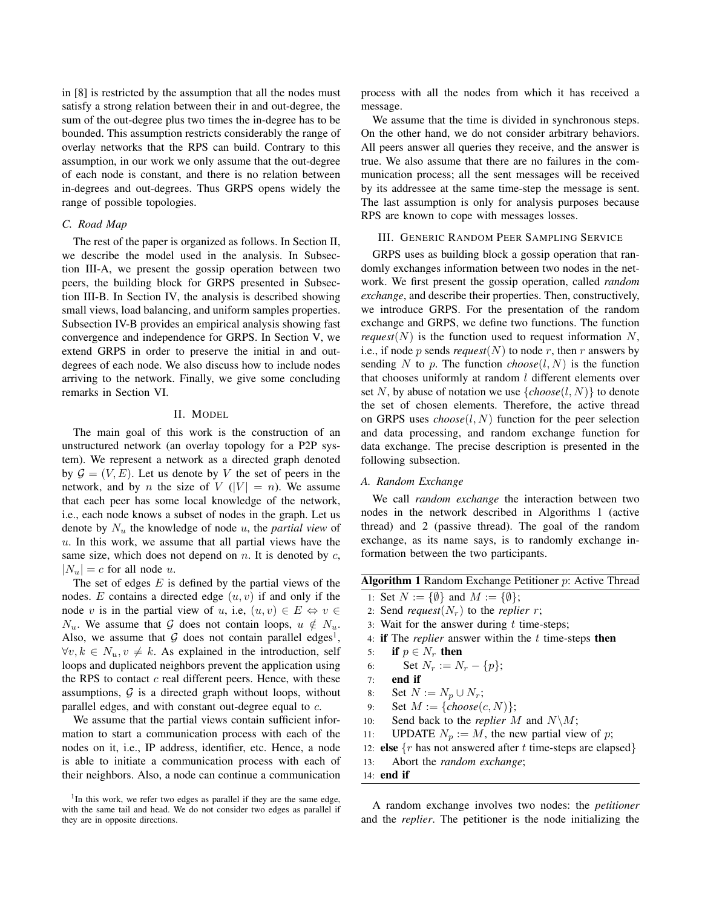in [8] is restricted by the assumption that all the nodes must satisfy a strong relation between their in and out-degree, the sum of the out-degree plus two times the in-degree has to be bounded. This assumption restricts considerably the range of overlay networks that the RPS can build. Contrary to this assumption, in our work we only assume that the out-degree of each node is constant, and there is no relation between in-degrees and out-degrees. Thus GRPS opens widely the range of possible topologies.

### *C. Road Map*

The rest of the paper is organized as follows. In Section II, we describe the model used in the analysis. In Subsection III-A, we present the gossip operation between two peers, the building block for GRPS presented in Subsection III-B. In Section IV, the analysis is described showing small views, load balancing, and uniform samples properties. Subsection IV-B provides an empirical analysis showing fast convergence and independence for GRPS. In Section V, we extend GRPS in order to preserve the initial in and outdegrees of each node. We also discuss how to include nodes arriving to the network. Finally, we give some concluding remarks in Section VI.

# II. MODEL

The main goal of this work is the construction of an unstructured network (an overlay topology for a P2P system). We represent a network as a directed graph denoted by  $\mathcal{G} = (V, E)$ . Let us denote by V the set of peers in the network, and by *n* the size of  $V(|V| = n)$ . We assume that each peer has some local knowledge of the network, i.e., each node knows a subset of nodes in the graph. Let us denote by  $N_u$  the knowledge of node  $u$ , the *partial view* of  $u$ . In this work, we assume that all partial views have the same size, which does not depend on  $n$ . It is denoted by  $c$ ,  $|N_u| = c$  for all node u.

The set of edges  $E$  is defined by the partial views of the nodes. E contains a directed edge  $(u, v)$  if and only if the node v is in the partial view of u, i.e,  $(u, v) \in E \Leftrightarrow v \in$  $N_u$ . We assume that G does not contain loops,  $u \notin N_u$ . Also, we assume that  $G$  does not contain parallel edges<sup>1</sup>,  $\forall v, k \in N_u, v \neq k$ . As explained in the introduction, self loops and duplicated neighbors prevent the application using the RPS to contact  $c$  real different peers. Hence, with these assumptions,  $G$  is a directed graph without loops, without parallel edges, and with constant out-degree equal to c.

We assume that the partial views contain sufficient information to start a communication process with each of the nodes on it, i.e., IP address, identifier, etc. Hence, a node is able to initiate a communication process with each of their neighbors. Also, a node can continue a communication process with all the nodes from which it has received a message.

We assume that the time is divided in synchronous steps. On the other hand, we do not consider arbitrary behaviors. All peers answer all queries they receive, and the answer is true. We also assume that there are no failures in the communication process; all the sent messages will be received by its addressee at the same time-step the message is sent. The last assumption is only for analysis purposes because RPS are known to cope with messages losses.

# III. GENERIC RANDOM PEER SAMPLING SERVICE

GRPS uses as building block a gossip operation that randomly exchanges information between two nodes in the network. We first present the gossip operation, called *random exchange*, and describe their properties. Then, constructively, we introduce GRPS. For the presentation of the random exchange and GRPS, we define two functions. The function *request*( $N$ ) is the function used to request information  $N$ , i.e., if node p sends *request*(N) to node r, then r answers by sending N to p. The function  $choose(l, N)$  is the function that chooses uniformly at random  $l$  different elements over set N, by abuse of notation we use  $\{choose(l, N)\}$  to denote the set of chosen elements. Therefore, the active thread on GRPS uses  $choose(l, N)$  function for the peer selection and data processing, and random exchange function for data exchange. The precise description is presented in the following subsection.

#### *A. Random Exchange*

We call *random exchange* the interaction between two nodes in the network described in Algorithms 1 (active thread) and 2 (passive thread). The goal of the random exchange, as its name says, is to randomly exchange information between the two participants.

| Algorithm 1 Random Exchange Petitioner p: Active Thread |  |  |  |  |
|---------------------------------------------------------|--|--|--|--|
|                                                         |  |  |  |  |

- 1: Set  $N := \{\emptyset\}$  and  $M := \{\emptyset\};$
- 2: Send *request*( $N_r$ ) to the *replier r*;
- 3: Wait for the answer during  $t$  time-steps;
- 4: if The *replier* answer within the t time-steps then
- 5: if  $p \in N_r$  then

6: Set 
$$
N_r := N_r - \{p\};
$$

- 7: end if
- 8: Set  $N := N_p \cup N_r$ ;
- 9: Set  $M := \{choose(c, N)\};$
- 10: Send back to the *replier* M and  $N\backslash M$ ;
- 11: UPDATE  $N_p := M$ , the new partial view of p;
- 12: **else**  $\{r \text{ has not answered after } t \text{ time-steps are elapsed}\}\$
- 13: Abort the *random exchange*;
- 14: end if

A random exchange involves two nodes: the *petitioner* and the *replier*. The petitioner is the node initializing the

<sup>&</sup>lt;sup>1</sup>In this work, we refer two edges as parallel if they are the same edge, with the same tail and head. We do not consider two edges as parallel if they are in opposite directions.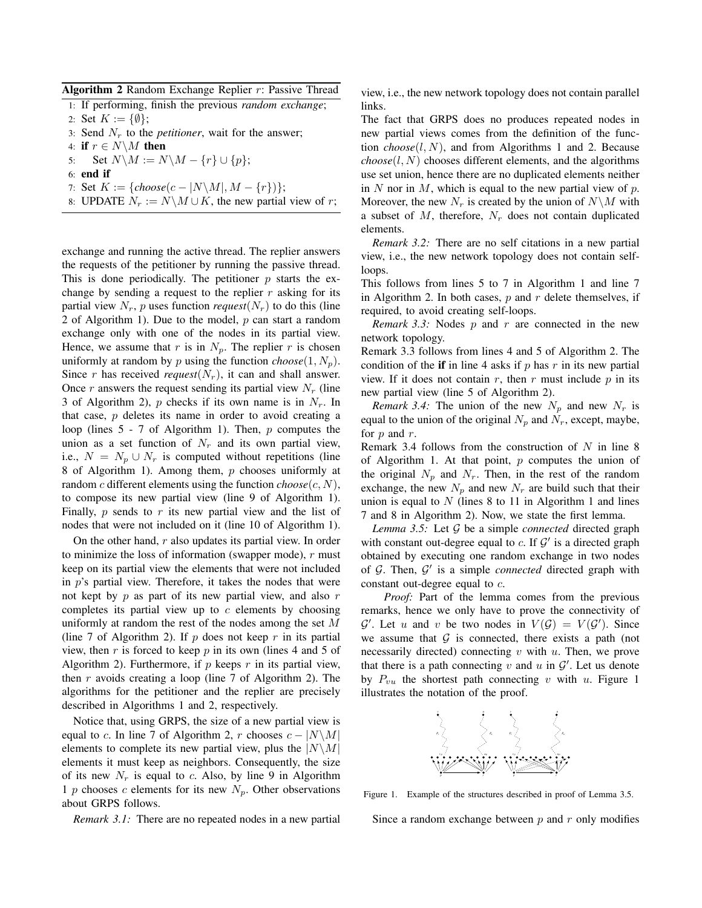Algorithm 2 Random Exchange Replier r: Passive Thread

1: If performing, finish the previous *random exchange*;

- 2: Set  $K := \{\emptyset\};$
- 3: Send  $N_r$  to the *petitioner*, wait for the answer;
- 4: if  $r \in N \backslash M$  then
- 5: Set  $N\backslash M := N\backslash M \{r\} \cup \{p\};$
- 6: end if
- 7: Set  $K := \{choose(c |N \setminus M|, M \{r\})\};$
- 8: UPDATE  $N_r := N\setminus M \cup K$ , the new partial view of r;

exchange and running the active thread. The replier answers the requests of the petitioner by running the passive thread. This is done periodically. The petitioner  $p$  starts the exchange by sending a request to the replier  $r$  asking for its partial view  $N_r$ , p uses function *request*( $N_r$ ) to do this (line 2 of Algorithm 1). Due to the model,  $p$  can start a random exchange only with one of the nodes in its partial view. Hence, we assume that r is in  $N_p$ . The replier r is chosen uniformly at random by p using the function  $choose(1, N_p)$ . Since r has received *request*( $N_r$ ), it can and shall answer. Once r answers the request sending its partial view  $N_r$  (line 3 of Algorithm 2), p checks if its own name is in  $N_r$ . In that case,  $p$  deletes its name in order to avoid creating a loop (lines 5 - 7 of Algorithm 1). Then, p computes the union as a set function of  $N_r$  and its own partial view, i.e.,  $N = N_p \cup N_r$  is computed without repetitions (line 8 of Algorithm 1). Among them,  $p$  chooses uniformly at random c different elements using the function  $choose(c, N)$ , to compose its new partial view (line 9 of Algorithm 1). Finally,  $p$  sends to  $r$  its new partial view and the list of nodes that were not included on it (line 10 of Algorithm 1).

On the other hand,  $r$  also updates its partial view. In order to minimize the loss of information (swapper mode),  $r$  must keep on its partial view the elements that were not included in  $p$ 's partial view. Therefore, it takes the nodes that were not kept by  $p$  as part of its new partial view, and also  $r$ completes its partial view up to  $c$  elements by choosing uniformly at random the rest of the nodes among the set M (line 7 of Algorithm 2). If  $p$  does not keep  $r$  in its partial view, then r is forced to keep  $p$  in its own (lines 4 and 5 of Algorithm 2). Furthermore, if  $p$  keeps  $r$  in its partial view, then  $r$  avoids creating a loop (line 7 of Algorithm 2). The algorithms for the petitioner and the replier are precisely described in Algorithms 1 and 2, respectively.

Notice that, using GRPS, the size of a new partial view is equal to c. In line 7 of Algorithm 2, r chooses  $c - |N \setminus M|$ elements to complete its new partial view, plus the  $|N\setminus M|$ elements it must keep as neighbors. Consequently, the size of its new  $N_r$  is equal to c. Also, by line 9 in Algorithm 1 p chooses c elements for its new  $N_p$ . Other observations about GRPS follows.

*Remark 3.1:* There are no repeated nodes in a new partial

view, i.e., the new network topology does not contain parallel links.

The fact that GRPS does no produces repeated nodes in new partial views comes from the definition of the function  $choose(l, N)$ , and from Algorithms 1 and 2. Because  $choose(l, N)$  chooses different elements, and the algorithms use set union, hence there are no duplicated elements neither in N nor in M, which is equal to the new partial view of  $p$ . Moreover, the new  $N_r$  is created by the union of  $N\setminus M$  with a subset of  $M$ , therefore,  $N_r$  does not contain duplicated elements.

*Remark 3.2:* There are no self citations in a new partial view, i.e., the new network topology does not contain selfloops.

This follows from lines 5 to 7 in Algorithm 1 and line 7 in Algorithm 2. In both cases,  $p$  and  $r$  delete themselves, if required, to avoid creating self-loops.

*Remark 3.3:* Nodes p and r are connected in the new network topology.

Remark 3.3 follows from lines 4 and 5 of Algorithm 2. The condition of the if in line 4 asks if  $p$  has  $r$  in its new partial view. If it does not contain  $r$ , then  $r$  must include  $p$  in its new partial view (line 5 of Algorithm 2).

*Remark 3.4:* The union of the new  $N_p$  and new  $N_r$  is equal to the union of the original  $N_p$  and  $N_r$ , except, maybe, for  $p$  and  $r$ .

Remark 3.4 follows from the construction of  $N$  in line 8 of Algorithm 1. At that point,  $p$  computes the union of the original  $N_p$  and  $N_r$ . Then, in the rest of the random exchange, the new  $N_p$  and new  $N_r$  are build such that their union is equal to  $N$  (lines 8 to 11 in Algorithm 1 and lines 7 and 8 in Algorithm 2). Now, we state the first lemma.

*Lemma 3.5:* Let G be a simple *connected* directed graph with constant out-degree equal to  $c$ . If  $\mathcal{G}'$  is a directed graph obtained by executing one random exchange in two nodes of G. Then, G ′ is a simple *connected* directed graph with constant out-degree equal to c.

*Proof:* Part of the lemma comes from the previous remarks, hence we only have to prove the connectivity of  $\mathcal{G}'$ . Let u and v be two nodes in  $V(\mathcal{G}) = V(\mathcal{G}')$ . Since we assume that  $G$  is connected, there exists a path (not necessarily directed) connecting  $v$  with  $u$ . Then, we prove that there is a path connecting  $v$  and  $u$  in  $\mathcal{G}'$ . Let us denote by  $P_{vu}$  the shortest path connecting v with u. Figure 1 illustrates the notation of the proof.



Figure 1. Example of the structures described in proof of Lemma 3.5.

Since a random exchange between  $p$  and  $r$  only modifies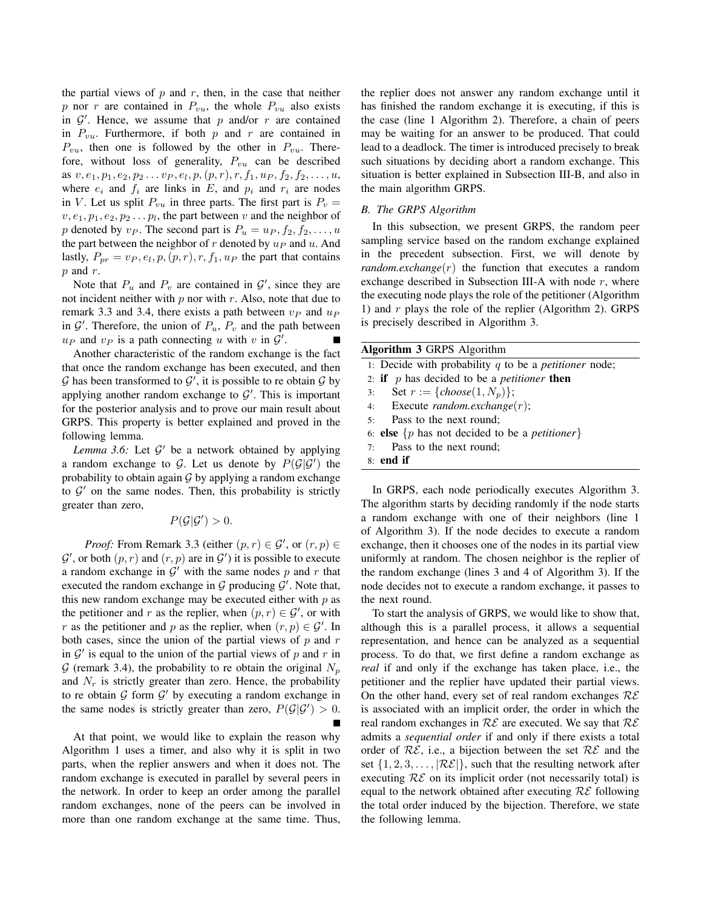the partial views of  $p$  and  $r$ , then, in the case that neither p nor r are contained in  $P_{vu}$ , the whole  $P_{vu}$  also exists in  $\mathcal{G}'$ . Hence, we assume that p and/or r are contained in  $P_{vu}$ . Furthermore, if both p and r are contained in  $P_{vu}$ , then one is followed by the other in  $P_{vu}$ . Therefore, without loss of generality,  $P_{vu}$  can be described as  $v, e_1, p_1, e_2, p_2 \ldots v_P, e_l, p, (p, r), r, f_1, u_P, f_2, f_2, \ldots, u$ , where  $e_i$  and  $f_i$  are links in E, and  $p_i$  and  $r_i$  are nodes in V. Let us split  $P_{vu}$  in three parts. The first part is  $P_v =$  $v, e_1, p_1, e_2, p_2 \dots p_l$ , the part between v and the neighbor of p denoted by  $v_P$ . The second part is  $P_u = u_P, f_2, f_2, \ldots, u$ the part between the neighbor of  $r$  denoted by  $u_P$  and  $u$ . And lastly,  $P_{pr} = v_P, e_l, p, (p, r), r, f_1, u_P$  the part that contains  $p$  and  $r$ .

Note that  $P_u$  and  $P_v$  are contained in  $\mathcal{G}'$ , since they are not incident neither with  $p$  nor with  $r$ . Also, note that due to remark 3.3 and 3.4, there exists a path between  $v_P$  and  $u_P$ in  $\mathcal{G}'$ . Therefore, the union of  $P_u$ ,  $P_v$  and the path between  $u_P$  and  $v_P$  is a path connecting u with v in  $\mathcal{G}'$ .

Another characteristic of the random exchange is the fact that once the random exchange has been executed, and then  $G$  has been transformed to  $G'$ , it is possible to re obtain  $G$  by applying another random exchange to  $\mathcal{G}'$ . This is important for the posterior analysis and to prove our main result about GRPS. This property is better explained and proved in the following lemma.

Lemma 3.6: Let  $\mathcal{G}'$  be a network obtained by applying a random exchange to G. Let us denote by  $P(\mathcal{G}|\mathcal{G}')$  the probability to obtain again  $\mathcal G$  by applying a random exchange to  $G'$  on the same nodes. Then, this probability is strictly greater than zero,

 $P(\mathcal{G}|\mathcal{G}') > 0.$ 

*Proof:* From Remark 3.3 (either  $(p, r) \in \mathcal{G}'$ , or  $(r, p) \in \mathcal{G}'$  $\mathcal{G}'$ , or both  $(p, r)$  and  $(r, p)$  are in  $\mathcal{G}'$  it is possible to execute a random exchange in  $\mathcal{G}'$  with the same nodes p and r that executed the random exchange in  $G$  producing  $G'$ . Note that, this new random exchange may be executed either with  $p$  as the petitioner and r as the replier, when  $(p, r) \in \mathcal{G}'$ , or with r as the petitioner and p as the replier, when  $(r, p) \in \mathcal{G}'$ . In both cases, since the union of the partial views of  $p$  and  $r$ in  $\mathcal{G}'$  is equal to the union of the partial views of p and r in G (remark 3.4), the probability to re obtain the original  $N_p$ and  $N_r$  is strictly greater than zero. Hence, the probability to re obtain  $G$  form  $G'$  by executing a random exchange in the same nodes is strictly greater than zero,  $P(\mathcal{G}|\mathcal{G}') > 0$ .

At that point, we would like to explain the reason why Algorithm 1 uses a timer, and also why it is split in two parts, when the replier answers and when it does not. The random exchange is executed in parallel by several peers in the network. In order to keep an order among the parallel random exchanges, none of the peers can be involved in more than one random exchange at the same time. Thus, the replier does not answer any random exchange until it has finished the random exchange it is executing, if this is the case (line 1 Algorithm 2). Therefore, a chain of peers may be waiting for an answer to be produced. That could lead to a deadlock. The timer is introduced precisely to break such situations by deciding abort a random exchange. This situation is better explained in Subsection III-B, and also in the main algorithm GRPS.

# *B. The GRPS Algorithm*

In this subsection, we present GRPS, the random peer sampling service based on the random exchange explained in the precedent subsection. First, we will denote by *random.exchange*(r) the function that executes a random exchange described in Subsection III-A with node  $r$ , where the executing node plays the role of the petitioner (Algorithm 1) and  $r$  plays the role of the replier (Algorithm 2). GRPS is precisely described in Algorithm 3.

| <b>Algorithm 3 GRPS Algorithm</b>                                  |  |
|--------------------------------------------------------------------|--|
| 1: Decide with probability q to be a <i>petitioner</i> node;       |  |
| 2: <b>if</b> $p$ has decided to be a <i>petitioner</i> then        |  |
| 3: Set $r := \{choose(1, N_p)\};$                                  |  |
| 4: Execute $random. exchange(r)$ ;                                 |  |
| 5: Pass to the next round;                                         |  |
| 6: <b>else</b> $\{p \text{ has not decided to be a petitioner}\}\$ |  |
| 7: Pass to the next round;                                         |  |
| $8:$ end if                                                        |  |

In GRPS, each node periodically executes Algorithm 3. The algorithm starts by deciding randomly if the node starts a random exchange with one of their neighbors (line 1 of Algorithm 3). If the node decides to execute a random exchange, then it chooses one of the nodes in its partial view uniformly at random. The chosen neighbor is the replier of the random exchange (lines 3 and 4 of Algorithm 3). If the node decides not to execute a random exchange, it passes to the next round.

To start the analysis of GRPS, we would like to show that, although this is a parallel process, it allows a sequential representation, and hence can be analyzed as a sequential process. To do that, we first define a random exchange as *real* if and only if the exchange has taken place, i.e., the petitioner and the replier have updated their partial views. On the other hand, every set of real random exchanges  $\mathcal{RE}$ is associated with an implicit order, the order in which the real random exchanges in  $\mathcal{RE}$  are executed. We say that  $\mathcal{RE}$ admits a *sequential order* if and only if there exists a total order of  $R\mathcal{E}$ , i.e., a bijection between the set  $R\mathcal{E}$  and the set  $\{1, 2, 3, \ldots, \mathcal{R}\mathcal{E}\}\$ , such that the resulting network after executing  $\mathcal{RE}$  on its implicit order (not necessarily total) is equal to the network obtained after executing  $R\mathcal{E}$  following the total order induced by the bijection. Therefore, we state the following lemma.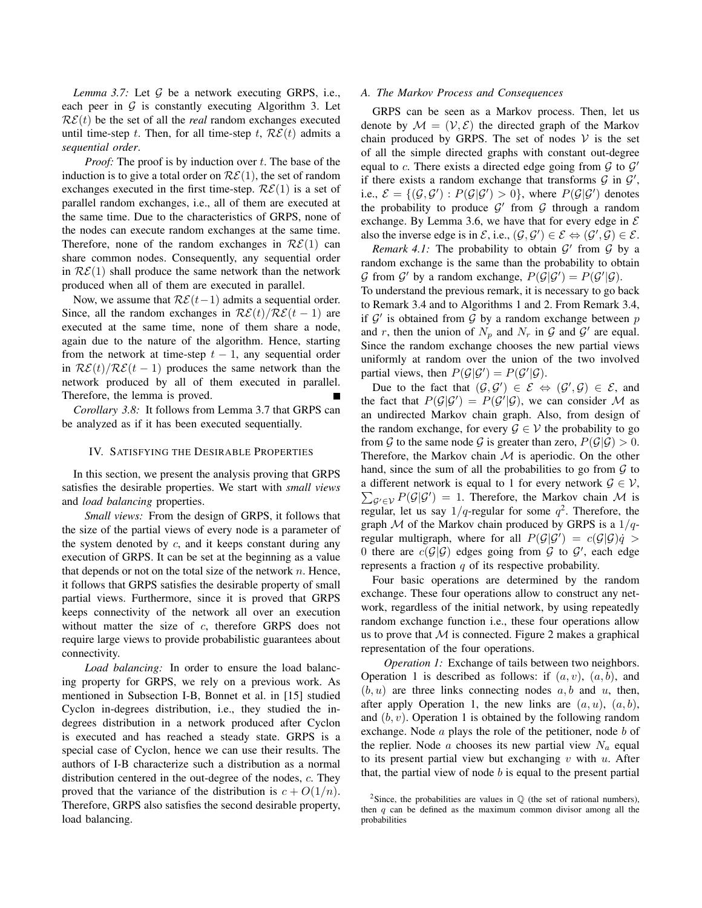*Lemma 3.7:* Let  $G$  be a network executing GRPS, i.e., each peer in  $G$  is constantly executing Algorithm 3. Let  $R\mathcal{E}(t)$  be the set of all the *real* random exchanges executed until time-step t. Then, for all time-step t,  $\mathcal{RE}(t)$  admits a *sequential order*.

*Proof:* The proof is by induction over t. The base of the induction is to give a total order on  $\mathcal{RE}(1)$ , the set of random exchanges executed in the first time-step.  $\mathcal{RE}(1)$  is a set of parallel random exchanges, i.e., all of them are executed at the same time. Due to the characteristics of GRPS, none of the nodes can execute random exchanges at the same time. Therefore, none of the random exchanges in  $\mathcal{RE}(1)$  can share common nodes. Consequently, any sequential order in  $RE(1)$  shall produce the same network than the network produced when all of them are executed in parallel.

Now, we assume that  $\mathcal{RE}(t-1)$  admits a sequential order. Since, all the random exchanges in  $\mathcal{RE}(t)/\mathcal{RE}(t-1)$  are executed at the same time, none of them share a node, again due to the nature of the algorithm. Hence, starting from the network at time-step  $t - 1$ , any sequential order in  $\mathcal{RE}(t)/\mathcal{RE}(t-1)$  produces the same network than the network produced by all of them executed in parallel. Therefore, the lemma is proved.

*Corollary 3.8:* It follows from Lemma 3.7 that GRPS can be analyzed as if it has been executed sequentially.

#### IV. SATISFYING THE DESIRABLE PROPERTIES

In this section, we present the analysis proving that GRPS satisfies the desirable properties. We start with *small views* and *load balancing* properties.

*Small views:* From the design of GRPS, it follows that the size of the partial views of every node is a parameter of the system denoted by  $c$ , and it keeps constant during any execution of GRPS. It can be set at the beginning as a value that depends or not on the total size of the network  $n$ . Hence, it follows that GRPS satisfies the desirable property of small partial views. Furthermore, since it is proved that GRPS keeps connectivity of the network all over an execution without matter the size of  $c$ , therefore GRPS does not require large views to provide probabilistic guarantees about connectivity.

*Load balancing:* In order to ensure the load balancing property for GRPS, we rely on a previous work. As mentioned in Subsection I-B, Bonnet et al. in [15] studied Cyclon in-degrees distribution, i.e., they studied the indegrees distribution in a network produced after Cyclon is executed and has reached a steady state. GRPS is a special case of Cyclon, hence we can use their results. The authors of I-B characterize such a distribution as a normal distribution centered in the out-degree of the nodes, c. They proved that the variance of the distribution is  $c + O(1/n)$ . Therefore, GRPS also satisfies the second desirable property, load balancing.

## *A. The Markov Process and Consequences*

GRPS can be seen as a Markov process. Then, let us denote by  $\mathcal{M} = (\mathcal{V}, \mathcal{E})$  the directed graph of the Markov chain produced by GRPS. The set of nodes  $V$  is the set of all the simple directed graphs with constant out-degree equal to c. There exists a directed edge going from  $G$  to  $G'$ if there exists a random exchange that transforms  $G$  in  $G'$ , i.e.,  $\mathcal{E} = \{(\mathcal{G}, \mathcal{G}') : P(\mathcal{G}|\mathcal{G}') > 0\}$ , where  $P(\mathcal{G}|\mathcal{G}')$  denotes the probability to produce  $G'$  from  $G$  through a random exchange. By Lemma 3.6, we have that for every edge in  $\mathcal E$ also the inverse edge is in  $\mathcal{E}$ , i.e.,  $(\mathcal{G}, \mathcal{G}') \in \mathcal{E} \Leftrightarrow (\mathcal{G}', \mathcal{G}) \in \mathcal{E}$ .

*Remark 4.1:* The probability to obtain  $\mathcal{G}'$  from  $\mathcal{G}$  by a random exchange is the same than the probability to obtain G from G' by a random exchange,  $P(\mathcal{G}|\mathcal{G}') = P(\mathcal{G}'|\mathcal{G})$ .

To understand the previous remark, it is necessary to go back to Remark 3.4 and to Algorithms 1 and 2. From Remark 3.4, if  $\mathcal{G}'$  is obtained from  $\mathcal G$  by a random exchange between p and r, then the union of  $N_p$  and  $N_r$  in  $\mathcal G$  and  $\mathcal G'$  are equal. Since the random exchange chooses the new partial views uniformly at random over the union of the two involved partial views, then  $P(\mathcal{G}|\mathcal{G}') = P(\mathcal{G}'|\mathcal{G})$ .

Due to the fact that  $(\mathcal{G}, \mathcal{G}') \in \mathcal{E} \Leftrightarrow (\mathcal{G}', \mathcal{G}) \in \mathcal{E}$ , and the fact that  $P(\mathcal{G}|\mathcal{G}') = P(\mathcal{G}'|\mathcal{G})$ , we can consider M as an undirected Markov chain graph. Also, from design of the random exchange, for every  $\mathcal{G} \in \mathcal{V}$  the probability to go from G to the same node G is greater than zero,  $P(\mathcal{G}|\mathcal{G}) > 0$ . Therefore, the Markov chain  $M$  is aperiodic. On the other hand, since the sum of all the probabilities to go from  $G$  to  $\sum_{\mathcal{G}' \in \mathcal{V}} P(\mathcal{G}|\mathcal{G}') = 1$ . Therefore, the Markov chain M is a different network is equal to 1 for every network  $\mathcal{G} \in \mathcal{V}$ , regular, let us say  $1/q$ -regular for some  $q^2$ . Therefore, the graph  $M$  of the Markov chain produced by GRPS is a  $1/q$ regular multigraph, where for all  $P(\mathcal{G}|\mathcal{G}') = c(\mathcal{G}|\mathcal{G})\dot{q} >$ 0 there are  $c(G|\mathcal{G})$  edges going from  $\mathcal G$  to  $\mathcal G'$ , each edge represents a fraction  $q$  of its respective probability.

Four basic operations are determined by the random exchange. These four operations allow to construct any network, regardless of the initial network, by using repeatedly random exchange function i.e., these four operations allow us to prove that  $M$  is connected. Figure 2 makes a graphical representation of the four operations.

*Operation 1:* Exchange of tails between two neighbors. Operation 1 is described as follows: if  $(a, v)$ ,  $(a, b)$ , and  $(b, u)$  are three links connecting nodes  $a, b$  and  $u$ , then, after apply Operation 1, the new links are  $(a, u)$ ,  $(a, b)$ , and  $(b, v)$ . Operation 1 is obtained by the following random exchange. Node  $a$  plays the role of the petitioner, node  $b$  of the replier. Node a chooses its new partial view  $N_a$  equal to its present partial view but exchanging  $v$  with  $u$ . After that, the partial view of node  $b$  is equal to the present partial

<sup>&</sup>lt;sup>2</sup>Since, the probabilities are values in  $\mathbb Q$  (the set of rational numbers), then  $q$  can be defined as the maximum common divisor among all the probabilities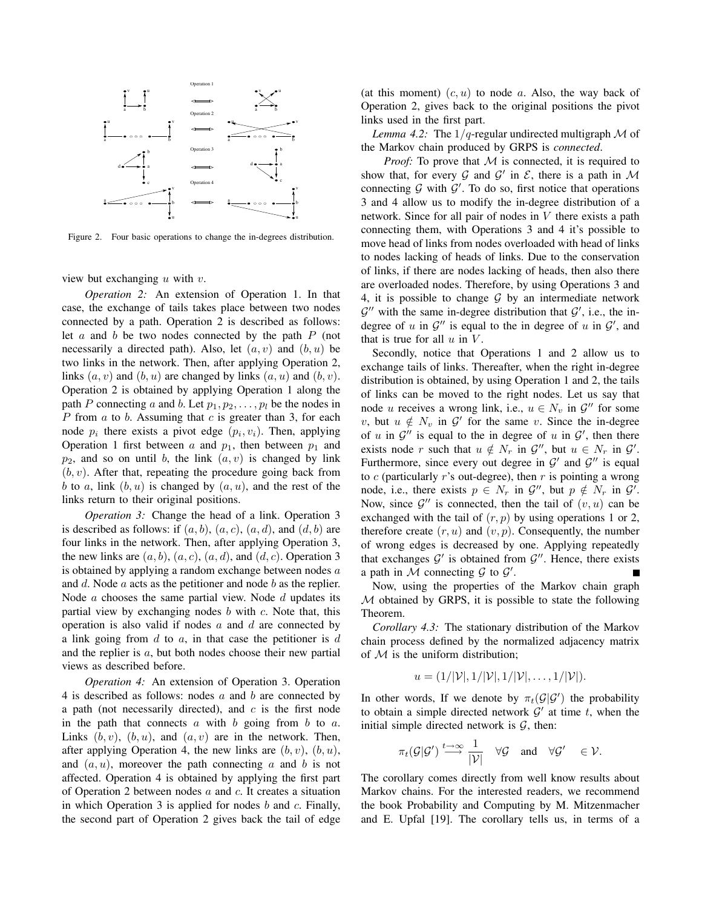

Figure 2. Four basic operations to change the in-degrees distribution.

view but exchanging  $u$  with  $v$ .

*Operation 2:* An extension of Operation 1. In that case, the exchange of tails takes place between two nodes connected by a path. Operation 2 is described as follows: let  $a$  and  $b$  be two nodes connected by the path  $P$  (not necessarily a directed path). Also, let  $(a, v)$  and  $(b, u)$  be two links in the network. Then, after applying Operation 2, links  $(a, v)$  and  $(b, u)$  are changed by links  $(a, u)$  and  $(b, v)$ . Operation 2 is obtained by applying Operation 1 along the path P connecting a and b. Let  $p_1, p_2, \ldots, p_l$  be the nodes in P from  $a$  to  $b$ . Assuming that  $c$  is greater than 3, for each node  $p_i$  there exists a pivot edge  $(p_i, v_i)$ . Then, applying Operation 1 first between a and  $p_1$ , then between  $p_1$  and  $p_2$ , and so on until b, the link  $(a, v)$  is changed by link  $(b, v)$ . After that, repeating the procedure going back from b to a, link  $(b, u)$  is changed by  $(a, u)$ , and the rest of the links return to their original positions.

*Operation 3:* Change the head of a link. Operation 3 is described as follows: if  $(a, b)$ ,  $(a, c)$ ,  $(a, d)$ , and  $(d, b)$  are four links in the network. Then, after applying Operation 3, the new links are  $(a, b)$ ,  $(a, c)$ ,  $(a, d)$ , and  $(d, c)$ . Operation 3 is obtained by applying a random exchange between nodes  $a$ and  $d$ . Node  $a$  acts as the petitioner and node  $b$  as the replier. Node  $a$  chooses the same partial view. Node  $d$  updates its partial view by exchanging nodes  $b$  with  $c$ . Note that, this operation is also valid if nodes  $a$  and  $d$  are connected by a link going from  $d$  to  $a$ , in that case the petitioner is  $d$ and the replier is a, but both nodes choose their new partial views as described before.

*Operation 4:* An extension of Operation 3. Operation 4 is described as follows: nodes  $a$  and  $b$  are connected by a path (not necessarily directed), and  $c$  is the first node in the path that connects  $a$  with  $b$  going from  $b$  to  $a$ . Links  $(b, v)$ ,  $(b, u)$ , and  $(a, v)$  are in the network. Then, after applying Operation 4, the new links are  $(b, v)$ ,  $(b, u)$ , and  $(a, u)$ , moreover the path connecting a and b is not affected. Operation 4 is obtained by applying the first part of Operation 2 between nodes  $a$  and  $c$ . It creates a situation in which Operation 3 is applied for nodes  $b$  and  $c$ . Finally, the second part of Operation 2 gives back the tail of edge (at this moment)  $(c, u)$  to node a. Also, the way back of Operation 2, gives back to the original positions the pivot links used in the first part.

*Lemma 4.2:* The  $1/q$ -regular undirected multigraph M of the Markov chain produced by GRPS is *connected*.

*Proof:* To prove that M is connected, it is required to show that, for every  $G$  and  $G'$  in  $\mathcal{E}$ , there is a path in  $\mathcal{M}$ connecting  $G$  with  $G'$ . To do so, first notice that operations 3 and 4 allow us to modify the in-degree distribution of a network. Since for all pair of nodes in  $V$  there exists a path connecting them, with Operations 3 and 4 it's possible to move head of links from nodes overloaded with head of links to nodes lacking of heads of links. Due to the conservation of links, if there are nodes lacking of heads, then also there are overloaded nodes. Therefore, by using Operations 3 and 4, it is possible to change  $G$  by an intermediate network  $\mathcal{G}''$  with the same in-degree distribution that  $\mathcal{G}'$ , i.e., the indegree of u in  $\mathcal{G}''$  is equal to the in degree of u in  $\mathcal{G}'$ , and that is true for all  $u$  in  $V$ .

Secondly, notice that Operations 1 and 2 allow us to exchange tails of links. Thereafter, when the right in-degree distribution is obtained, by using Operation 1 and 2, the tails of links can be moved to the right nodes. Let us say that node u receives a wrong link, i.e.,  $u \in N_v$  in  $\mathcal{G}''$  for some v, but  $u \notin N_v$  in  $\mathcal{G}'$  for the same v. Since the in-degree of u in  $\mathcal{G}''$  is equal to the in degree of u in  $\mathcal{G}'$ , then there exists node r such that  $u \notin N_r$  in  $\mathcal{G}''$ , but  $u \in N_r$  in  $\mathcal{G}'$ . Furthermore, since every out degree in  $\mathcal{G}'$  and  $\mathcal{G}''$  is equal to  $c$  (particularly  $r$ 's out-degree), then  $r$  is pointing a wrong node, i.e., there exists  $p \in N_r$  in  $\mathcal{G}''$ , but  $p \notin N_r$  in  $\mathcal{G}'$ . Now, since  $\mathcal{G}''$  is connected, then the tail of  $(v, u)$  can be exchanged with the tail of  $(r, p)$  by using operations 1 or 2, therefore create  $(r, u)$  and  $(v, p)$ . Consequently, the number of wrong edges is decreased by one. Applying repeatedly that exchanges  $G'$  is obtained from  $G''$ . Hence, there exists a path in  $M$  connecting  $G$  to  $G'$ .

Now, using the properties of the Markov chain graph M obtained by GRPS, it is possible to state the following Theorem.

*Corollary 4.3:* The stationary distribution of the Markov chain process defined by the normalized adjacency matrix of  $M$  is the uniform distribution;

$$
u = (1/|\mathcal{V}|, 1/|\mathcal{V}|, 1/|\mathcal{V}|, \ldots, 1/|\mathcal{V}|).
$$

In other words, If we denote by  $\pi_t(\mathcal{G}|\mathcal{G}')$  the probability to obtain a simple directed network  $\mathcal{G}'$  at time t, when the initial simple directed network is  $G$ , then:

$$
\pi_t(\mathcal{G}|\mathcal{G}') \stackrel{t \to \infty}{\longrightarrow} \frac{1}{|\mathcal{V}|} \quad \forall \mathcal{G} \quad \text{and} \quad \forall \mathcal{G}' \quad \in \mathcal{V}.
$$

The corollary comes directly from well know results about Markov chains. For the interested readers, we recommend the book Probability and Computing by M. Mitzenmacher and E. Upfal [19]. The corollary tells us, in terms of a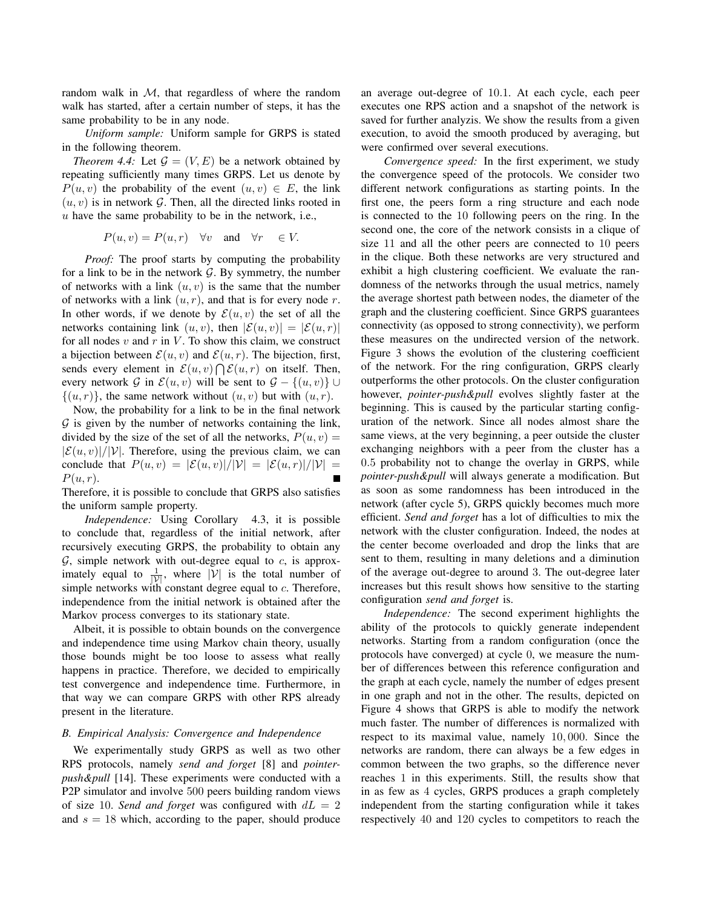random walk in  $M$ , that regardless of where the random walk has started, after a certain number of steps, it has the same probability to be in any node.

*Uniform sample:* Uniform sample for GRPS is stated in the following theorem.

*Theorem 4.4:* Let  $\mathcal{G} = (V, E)$  be a network obtained by repeating sufficiently many times GRPS. Let us denote by  $P(u, v)$  the probability of the event  $(u, v) \in E$ , the link  $(u, v)$  is in network G. Then, all the directed links rooted in  $u$  have the same probability to be in the network, i.e.,

$$
P(u, v) = P(u, r)
$$
  $\forall v$  and  $\forall r \in V$ .

*Proof:* The proof starts by computing the probability for a link to be in the network  $G$ . By symmetry, the number of networks with a link  $(u, v)$  is the same that the number of networks with a link  $(u, r)$ , and that is for every node r. In other words, if we denote by  $\mathcal{E}(u, v)$  the set of all the networks containing link  $(u, v)$ , then  $|\mathcal{E}(u, v)| = |\mathcal{E}(u, r)|$ for all nodes  $v$  and  $r$  in  $V$ . To show this claim, we construct a bijection between  $\mathcal{E}(u, v)$  and  $\mathcal{E}(u, r)$ . The bijection, first, sends every element in  $\mathcal{E}(u, v) \bigcap \mathcal{E}(u, r)$  on itself. Then, every network G in  $\mathcal{E}(u, v)$  will be sent to  $\mathcal{G} - \{(u, v)\} \cup$  $\{(u, r)\}\)$ , the same network without  $(u, v)$  but with  $(u, r)$ .

Now, the probability for a link to be in the final network  $G$  is given by the number of networks containing the link, divided by the size of the set of all the networks,  $P(u, v) =$  $|\mathcal{E}(u, v)|/|\mathcal{V}|$ . Therefore, using the previous claim, we can conclude that  $P(u, v) = |\mathcal{E}(u, v)|/|\mathcal{V}| = |\mathcal{E}(u, r)|/|\mathcal{V}| =$  $P(u, r)$ .

Therefore, it is possible to conclude that GRPS also satisfies the uniform sample property.

*Independence:* Using Corollary 4.3, it is possible to conclude that, regardless of the initial network, after recursively executing GRPS, the probability to obtain any  $G$ , simple network with out-degree equal to c, is approximately equal to  $\frac{1}{|V|}$ , where  $|V|$  is the total number of simple networks with constant degree equal to c. Therefore, independence from the initial network is obtained after the Markov process converges to its stationary state.

Albeit, it is possible to obtain bounds on the convergence and independence time using Markov chain theory, usually those bounds might be too loose to assess what really happens in practice. Therefore, we decided to empirically test convergence and independence time. Furthermore, in that way we can compare GRPS with other RPS already present in the literature.

## *B. Empirical Analysis: Convergence and Independence*

We experimentally study GRPS as well as two other RPS protocols, namely *send and forget* [8] and *pointerpush&pull* [14]. These experiments were conducted with a P2P simulator and involve 500 peers building random views of size 10. *Send and forget* was configured with  $dL = 2$ and  $s = 18$  which, according to the paper, should produce an average out-degree of 10.1. At each cycle, each peer executes one RPS action and a snapshot of the network is saved for further analyzis. We show the results from a given execution, to avoid the smooth produced by averaging, but were confirmed over several executions.

*Convergence speed:* In the first experiment, we study the convergence speed of the protocols. We consider two different network configurations as starting points. In the first one, the peers form a ring structure and each node is connected to the 10 following peers on the ring. In the second one, the core of the network consists in a clique of size 11 and all the other peers are connected to 10 peers in the clique. Both these networks are very structured and exhibit a high clustering coefficient. We evaluate the randomness of the networks through the usual metrics, namely the average shortest path between nodes, the diameter of the graph and the clustering coefficient. Since GRPS guarantees connectivity (as opposed to strong connectivity), we perform these measures on the undirected version of the network. Figure 3 shows the evolution of the clustering coefficient of the network. For the ring configuration, GRPS clearly outperforms the other protocols. On the cluster configuration however, *pointer-push&pull* evolves slightly faster at the beginning. This is caused by the particular starting configuration of the network. Since all nodes almost share the same views, at the very beginning, a peer outside the cluster exchanging neighbors with a peer from the cluster has a 0.5 probability not to change the overlay in GRPS, while *pointer-push&pull* will always generate a modification. But as soon as some randomness has been introduced in the network (after cycle 5), GRPS quickly becomes much more efficient. *Send and forget* has a lot of difficulties to mix the network with the cluster configuration. Indeed, the nodes at the center become overloaded and drop the links that are sent to them, resulting in many deletions and a diminution of the average out-degree to around 3. The out-degree later increases but this result shows how sensitive to the starting configuration *send and forget* is.

*Independence:* The second experiment highlights the ability of the protocols to quickly generate independent networks. Starting from a random configuration (once the protocols have converged) at cycle 0, we measure the number of differences between this reference configuration and the graph at each cycle, namely the number of edges present in one graph and not in the other. The results, depicted on Figure 4 shows that GRPS is able to modify the network much faster. The number of differences is normalized with respect to its maximal value, namely 10, 000. Since the networks are random, there can always be a few edges in common between the two graphs, so the difference never reaches 1 in this experiments. Still, the results show that in as few as 4 cycles, GRPS produces a graph completely independent from the starting configuration while it takes respectively 40 and 120 cycles to competitors to reach the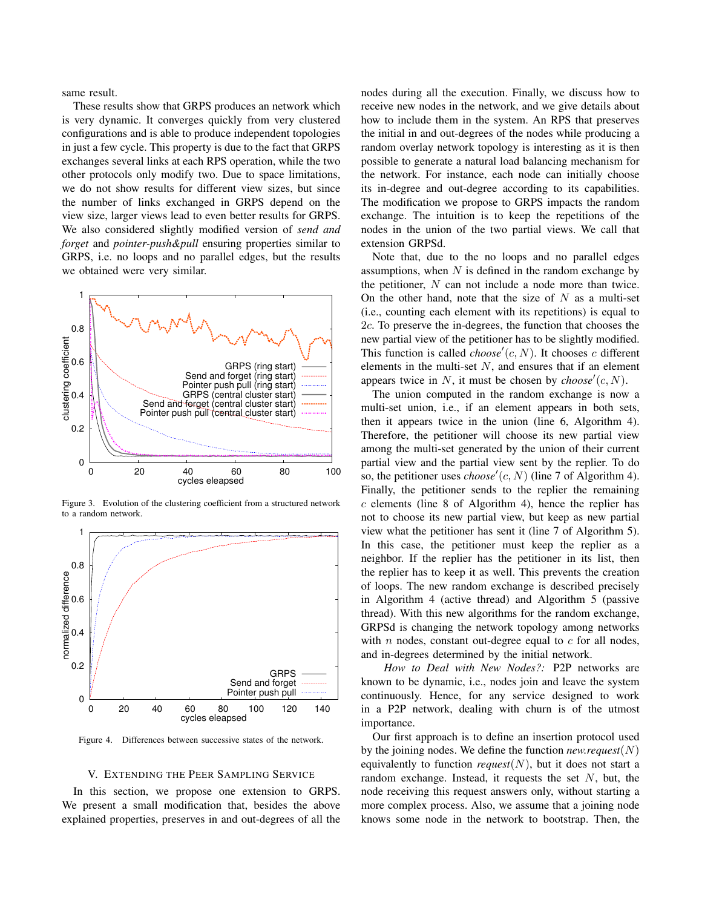same result.

These results show that GRPS produces an network which is very dynamic. It converges quickly from very clustered configurations and is able to produce independent topologies in just a few cycle. This property is due to the fact that GRPS exchanges several links at each RPS operation, while the two other protocols only modify two. Due to space limitations, we do not show results for different view sizes, but since the number of links exchanged in GRPS depend on the view size, larger views lead to even better results for GRPS. We also considered slightly modified version of *send and forget* and *pointer-push&pull* ensuring properties similar to GRPS, i.e. no loops and no parallel edges, but the results we obtained were very similar.



Figure 3. Evolution of the clustering coefficient from a structured network to a random network.



Figure 4. Differences between successive states of the network.

#### V. EXTENDING THE PEER SAMPLING SERVICE

In this section, we propose one extension to GRPS. We present a small modification that, besides the above explained properties, preserves in and out-degrees of all the nodes during all the execution. Finally, we discuss how to receive new nodes in the network, and we give details about how to include them in the system. An RPS that preserves the initial in and out-degrees of the nodes while producing a random overlay network topology is interesting as it is then possible to generate a natural load balancing mechanism for the network. For instance, each node can initially choose its in-degree and out-degree according to its capabilities. The modification we propose to GRPS impacts the random exchange. The intuition is to keep the repetitions of the nodes in the union of the two partial views. We call that extension GRPSd.

Note that, due to the no loops and no parallel edges assumptions, when  $N$  is defined in the random exchange by the petitioner, N can not include a node more than twice. On the other hand, note that the size of  $N$  as a multi-set (i.e., counting each element with its repetitions) is equal to 2c. To preserve the in-degrees, the function that chooses the new partial view of the petitioner has to be slightly modified. This function is called  $choose'(c, N)$ . It chooses c different elements in the multi-set  $N$ , and ensures that if an element appears twice in  $N$ , it must be chosen by  $choose'(c, N)$ .

The union computed in the random exchange is now a multi-set union, i.e., if an element appears in both sets, then it appears twice in the union (line 6, Algorithm 4). Therefore, the petitioner will choose its new partial view among the multi-set generated by the union of their current partial view and the partial view sent by the replier. To do so, the petitioner uses  $choose'(c, N)$  (line 7 of Algorithm 4). Finally, the petitioner sends to the replier the remaining  $c$  elements (line 8 of Algorithm 4), hence the replier has not to choose its new partial view, but keep as new partial view what the petitioner has sent it (line 7 of Algorithm 5). In this case, the petitioner must keep the replier as a neighbor. If the replier has the petitioner in its list, then the replier has to keep it as well. This prevents the creation of loops. The new random exchange is described precisely in Algorithm 4 (active thread) and Algorithm 5 (passive thread). With this new algorithms for the random exchange, GRPSd is changing the network topology among networks with  $n$  nodes, constant out-degree equal to  $c$  for all nodes, and in-degrees determined by the initial network.

*How to Deal with New Nodes?:* P2P networks are known to be dynamic, i.e., nodes join and leave the system continuously. Hence, for any service designed to work in a P2P network, dealing with churn is of the utmost importance.

Our first approach is to define an insertion protocol used by the joining nodes. We define the function *new.request*(N) equivalently to function  $request(N)$ , but it does not start a random exchange. Instead, it requests the set  $N$ , but, the node receiving this request answers only, without starting a more complex process. Also, we assume that a joining node knows some node in the network to bootstrap. Then, the